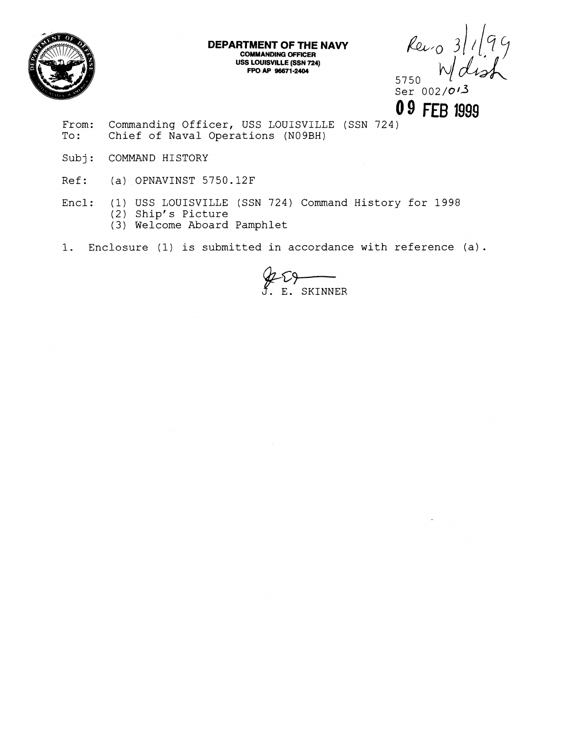

**DEPARTMENT OF THE NAVY COMMANDING OFFICER USS LOUISVILLE (SSN 724) FPO AP 96671 -2404** 

 $k$ eiro 3/1/79 5750 *.I* 

Ser  $002/\mathcal{O}$ **0 9** FEE **1999** 

- From: Commanding Officer, USS LOUISVILLE (SSN 724)<br>To: Chief of Naval Operations (N09BH) Chief of Naval Operations (N09BH)
- Subj: COMMAND HISTORY
- Ref: (a) OPNAVINST 5750.12F
- Encl: (I) USS LOUISVILLE (SSN 724) Command History for 1998 (2) Ship's Picture (3) Welcome Aboard Pamphlet
- 1. Enclosure (1) is submitted in accordance with reference (a).

E. SKINNER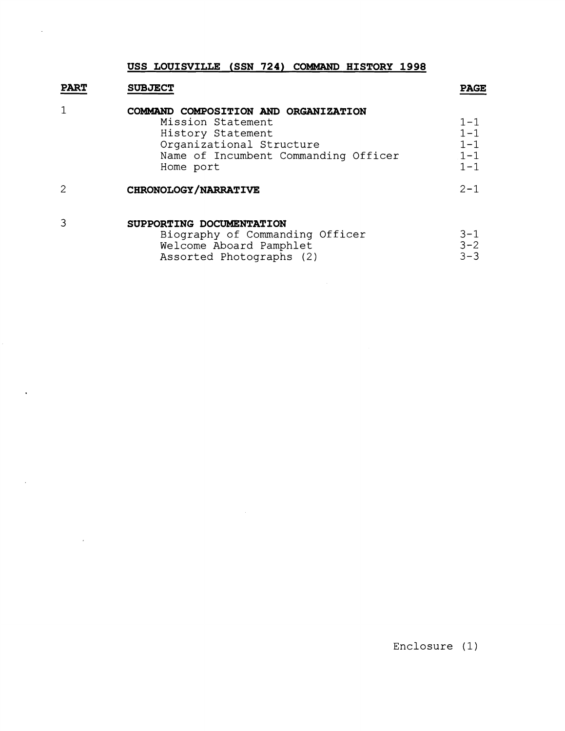#### **USS LOUISVILLE (SSN 724) COMMAND HISTORY 1998**

 $\ddot{\phantom{a}}$ 

 $\ddot{\phantom{a}}$ 

 $\sim$ 

 $\sim 10^{-11}$ 

|             | USS LOUISVILLE (SSN 724) COMMAND HISTORY 1998                                                                                                                   |                                                     |
|-------------|-----------------------------------------------------------------------------------------------------------------------------------------------------------------|-----------------------------------------------------|
| <b>PART</b> | <b>SUBJECT</b>                                                                                                                                                  | <b>PAGE</b>                                         |
|             | COMMAND COMPOSITION AND ORGANIZATION<br>Mission Statement<br>History Statement<br>Organizational Structure<br>Name of Incumbent Commanding Officer<br>Home port | $1 - 1$<br>$1 - 1$<br>$1 - 1$<br>$1 - 1$<br>$1 - 1$ |
|             | CHRONOLOGY/NARRATIVE                                                                                                                                            | $2 - 1$                                             |
| 3           | SUPPORTING DOCUMENTATION<br>Biography of Commanding Officer<br>Welcome Aboard Pamphlet                                                                          | 3-1<br>$3 - 2$                                      |

| Welcome Aboard Pamphlet  | $3 - 2$ |
|--------------------------|---------|
| Assorted Photographs (2) | $3 - 3$ |

Enclosure (1)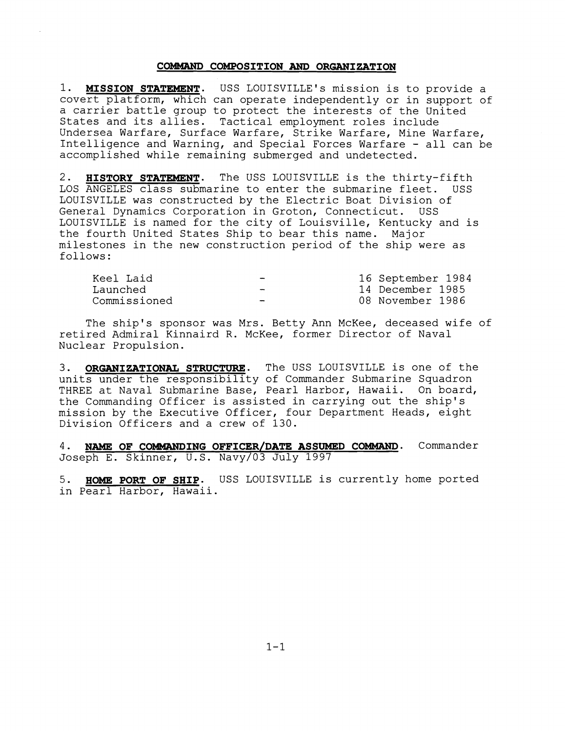#### **COMMAND COMPOSITION AND ORGANIZATION**

1. **MISSION STATWNT.** USS LOUISVILLE'S mission is to provide a covert platform, which can operate independently or in support of a carrier battle group to protect the interests of the United States and its allies. Tactical employment roles include Undersea Warfare, Surface Warfare, Strike Warfare, Mine Warfare, Intelligence and Warning, and Special Forces Warfare - all can be accomplished while remaining submerged and undetected.

**2. HISTORY STATEMENT.** The USS LOUISVILLE is the thirty-fifth LOS ANGELES class submarine to enter the submarine fleet. USS LOUISVILLE was constructed by the Electric Boat Division of General Dynamics Corporation in Groton, Connecticut. USS LOUISVILLE is named for the city of Louisville, Kentucky and is the fourth United States Ship to bear this name. Major milestones in the new construction period of the ship were as follows :

| Keel Laid    | $\rightarrow$ | 16 September 1984 |
|--------------|---------------|-------------------|
| Launched     | $\sim$        | 14 December 1985  |
| Commissioned | $\sim$        | 08 November 1986  |

The ship's sponsor was Mrs. Betty Ann McKee, deceased wife of retired Admiral Kinnaird R. McKee, former Director of Naval Nuclear Propulsion.

**ORGANIZATIONAL STRUCTURE.** The USS LOUISVILLE is one of the units under the responsibility of Commander Submarine Squadron THREE at Naval Submarine Base, Pearl Harbor, Hawaii. On board, the Commanding Officer is assisted in carrying out the ship's mission by the Executive Officer, four Department Heads, eight Division Officers and a crew of 130.

4. **NAME OF COMMANDING OFFICER/DATE ASSUMED COMMAND.** Commander Joseph E. Skinner, U.S. Navy/03 July 1997

5. **HOME PORT OF SHIP.** USS LOUISVILLE is currently home ported in Pearl Harbor, Hawaii.

 $1 - 1$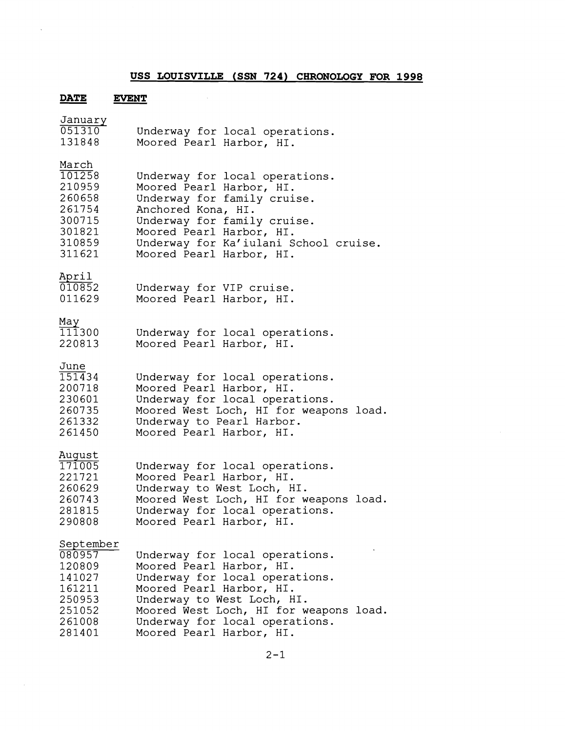## **USS LOUISVILLE (SSN 724) CHRONOLOGY FOR 1998**

 $\mathcal{L}^{\text{max}}_{\text{max}}$ 

## **DATE EVENT**

 $\hat{\mathcal{A}}$ 

 $\sim 10^{-1}$ 

| Underway for local operations.<br>Moored Pearl Harbor, HI.                                                                                                                                                                                                     |
|----------------------------------------------------------------------------------------------------------------------------------------------------------------------------------------------------------------------------------------------------------------|
| Underway for local operations.<br>Moored Pearl Harbor, HI.<br>Underway for family cruise.<br>Anchored Kona, HI.<br>Underway for family cruise.<br>Moored Pearl Harbor, HI.<br>Underway for Ka'iulani School cruise.<br>Moored Pearl Harbor, HI.                |
| Underway for VIP cruise.<br>Moored Pearl Harbor, HI.                                                                                                                                                                                                           |
| Underway for local operations.<br>Moored Pearl Harbor, HI.                                                                                                                                                                                                     |
| Underway for local operations.<br>Moored Pearl Harbor, HI.<br>Underway for local operations.<br>Moored West Loch, HI for weapons load.<br>Underway to Pearl Harbor.<br>Moored Pearl Harbor, HI.                                                                |
| Underway for local operations.<br>Moored Pearl Harbor, HI.<br>Underway to West Loch, HI.<br>Moored West Loch, HI for weapons load.<br>Underway for local operations.<br>Moored Pearl Harbor, HI.                                                               |
| Underway for local operations.<br>Moored Pearl Harbor, HI.<br>Underway for local operations.<br>Moored Pearl Harbor, HI.<br>Underway to West Loch, HI.<br>Moored West Loch, HI for weapons load.<br>Underway for local operations.<br>Moored Pearl Harbor, HI. |
|                                                                                                                                                                                                                                                                |